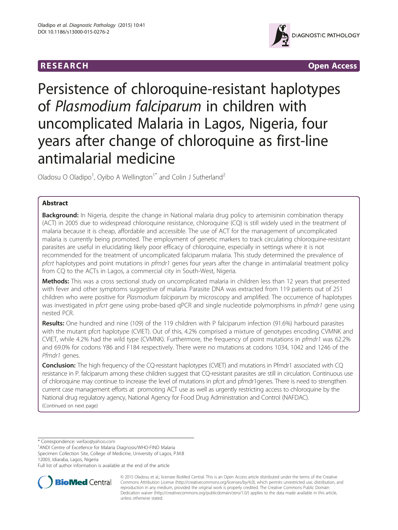

**RESEARCH CHINESEARCH CHINESEARCH** 

# Persistence of chloroquine-resistant haplotypes of Plasmodium falciparum in children with uncomplicated Malaria in Lagos, Nigeria, four years after change of chloroquine as first-line antimalarial medicine

Oladosu O Oladipo<sup>1</sup>, Oyibo A Wellington<sup>1\*</sup> and Colin J Sutherland<sup>2</sup>

# Abstract

**Background:** In Nigeria, despite the change in National malaria drug policy to artemisinin combination therapy (ACT) in 2005 due to widespread chloroquine resistance, chloroquine (CQ) is still widely used in the treatment of malaria because it is cheap, affordable and accessible. The use of ACT for the management of uncomplicated malaria is currently being promoted. The employment of genetic markers to track circulating chloroquine-resistant parasites are useful in elucidating likely poor efficacy of chloroquine, especially in settings where it is not recommended for the treatment of uncomplicated falciparum malaria. This study determined the prevalence of pfcrt haplotypes and point mutations in pfmdr1 genes four years after the change in antimalarial treatment policy from CQ to the ACTs in Lagos, a commercial city in South-West, Nigeria.

Methods: This was a cross sectional study on uncomplicated malaria in children less than 12 years that presented with fever and other symptoms suggestive of malaria. Parasite DNA was extracted from 119 patients out of 251 children who were positive for Plasmodium falciparum by microscopy and amplified. The occurrence of haplotypes was investigated in *pfcrt* gene using probe-based gPCR and single nucleotide polymorphisms in *pfmdr1* gene using nested PCR.

Results: One hundred and nine (109) of the 119 children with P falciparum infection (91.6%) harbourd parasites with the mutant pfcrt haplotype (CVIET). Out of this, 4.2% comprised a mixture of genotypes encoding CVMNK and CVIET, while 4.2% had the wild type (CVMNK). Furthermore, the frequency of point mutations in pfmdr1 was 62.2% and 69.0% for codons Y86 and F184 respectively. There were no mutations at codons 1034, 1042 and 1246 of the Pfmdr1 genes.

Conclusion: The high frequency of the CQ-resistant haplotypes (CVIET) and mutations in Pfmdr1 associated with CQ resistance in P. falciparum among these children suggest that CQ-resistant parasites are still in circulation. Continuous use of chloroquine may continue to increase the level of mutations in pfcrt and pfmdr1genes. There is need to strengthen current case management efforts at promoting ACT use as well as urgently restricting access to chloroquine by the National drug regulatory agency, National Agency for Food Drug Administration and Control (NAFDAC). (Continued on next page)

\* Correspondence: [wellao@yahoo.com](mailto:wellao@yahoo.com) <sup>1</sup>

ANDI Centre of Excellence for Malaria Diagnosis/WHO-FIND Malaria

Specimen Collection Site, College of Medicine, University of Lagos, P.M.B 12003, Idiaraba, Lagos, Nigeria

Full list of author information is available at the end of the article



© 2015 Oladosu et al.; licensee BioMed Central. This is an Open Access article distributed under the terms of the Creative Commons Attribution License [\(http://creativecommons.org/licenses/by/4.0\)](http://creativecommons.org/licenses/by/4.0), which permits unrestricted use, distribution, and reproduction in any medium, provided the original work is properly credited. The Creative Commons Public Domain Dedication waiver [\(http://creativecommons.org/publicdomain/zero/1.0/](http://creativecommons.org/publicdomain/zero/1.0/)) applies to the data made available in this article, unless otherwise stated.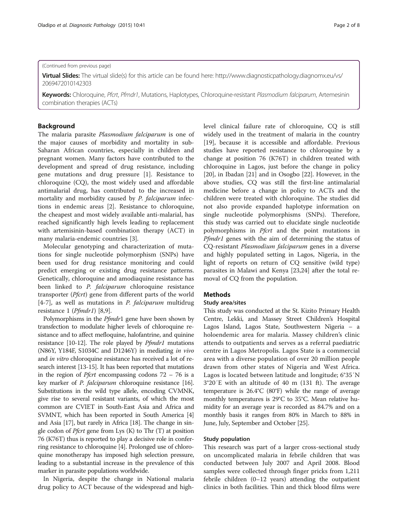#### (Continued from previous page)

Virtual Slides: The virtual slide(s) for this article can be found here: [http://www.diagnosticpathology.diagnomx.eu/vs/](http://www.diagnosticpathology.diagnomx.eu/vs/2069472010142303) [2069472010142303](http://www.diagnosticpathology.diagnomx.eu/vs/2069472010142303)

Keywords: Chloroquine, Pfcrt, Pfmdr1, Mutations, Haplotypes, Chloroquine-resistant Plasmodium falciparum, Artemesinin combination therapies (ACTs)

# Background

The malaria parasite Plasmodium falciparum is one of the major causes of morbidity and mortality in sub-Saharan African countries, especially in children and pregnant women. Many factors have contributed to the development and spread of drug resistance, including gene mutations and drug pressure [[1\]](#page-5-0). Resistance to chloroquine (CQ), the most widely used and affordable antimalarial drug, has contributed to the increased in mortality and morbidity caused by P. falciparum infections in endemic areas [\[2](#page-5-0)]. Resistance to chloroquine, the cheapest and most widely available anti-malarial, has reached significantly high levels leading to replacement with artemisinin-based combination therapy (ACT) in many malaria-endemic countries [\[3](#page-5-0)].

Molecular genotyping and characterization of mutations for single nucleotide polymorphism (SNPs) have been used for drug resistance monitoring and could predict emerging or existing drug resistance patterns. Genetically, chloroquine and amodiaquine resistance has been linked to *P. falciparum* chloroquine resistance transporter (Pfcrt) gene from different parts of the world  $[4-7]$  $[4-7]$  $[4-7]$ , as well as mutations in *P. falciparum* multidrug resistance 1 (Pfmdr1) [[8,9\]](#page-5-0).

Polymorphisms in the *Pfmdr*1 gene have been shown by transfection to modulate higher levels of chloroquine resistance and to affect mefloquine, halofantrine, and quinine resistance [[10](#page-5-0)[-12](#page-6-0)]. The role played by *Pfmdr1* mutations (N86Y, Y184F, S1034C and D1246Y) in mediating in vivo and in vitro chloroquine resistance has received a lot of research interest [[13](#page-6-0)-[15](#page-6-0)]. It has been reported that mutations in the region of *Pfcrt* encompassing codons  $72 - 76$  is a key marker of P. falciparum chloroquine resistance [[16](#page-6-0)]. Substitutions in the wild type allele, encoding CVMNK, give rise to several resistant variants, of which the most common are CVIET in South-East Asia and Africa and SVMNT, which has been reported in South America [[4](#page-5-0)] and Asia [[17](#page-6-0)], but rarely in Africa [[18](#page-6-0)]. The change in single codon of *Pfcrt* gene from Lys  $(K)$  to Thr  $(T)$  at position 76 (K76T) thus is reported to play a decisive role in conferring resistance to chloroquine [\[4\]](#page-5-0). Prolonged use of chloroquine monotherapy has imposed high selection pressure, leading to a substantial increase in the prevalence of this marker in parasite populations worldwide.

In Nigeria, despite the change in National malaria drug policy to ACT because of the widespread and highlevel clinical failure rate of chloroquine, CQ is still widely used in the treatment of malaria in the country [[19\]](#page-6-0), because it is accessible and affordable. Previous studies have reported resistance to chloroquine by a change at position 76 (K76T) in children treated with chloroquine in Lagos, just before the change in policy [[20\]](#page-6-0), in Ibadan [[21](#page-6-0)] and in Osogbo [[22\]](#page-6-0). However, in the above studies, CQ was still the first-line antimalarial medicine before a change in policy to ACTs and the children were treated with chloroquine. The studies did not also provide expanded haplotype information on single nucleotide polymorphisms (SNPs). Therefore, this study was carried out to elucidate single nucleotide polymorphisms in *Pfcrt* and the point mutations in Pfmdr1 genes with the aim of determining the status of CQ-resistant Plasmodium falciparum genes in a diverse and highly populated setting in Lagos, Nigeria, in the light of reports on return of CQ sensitive (wild type) parasites in Malawi and Kenya [[23,24](#page-6-0)] after the total removal of CQ from the population.

### Methods

#### Study area/sites

This study was conducted at the St. Kizito Primary Health Centre, Lekki, and Massey Street Children's Hospital Lagos Island, Lagos State, Southwestern Nigeria – a holoendemic area for malaria. Massey children's clinic attends to outpatients and serves as a referral paediatric centre in Lagos Metropolis. Lagos State is a commercial area with a diverse population of over 20 million people drawn from other states of Nigeria and West Africa. Lagos is located between latitude and longitude; 6°35′N 3°20′E with an altitude of 40 m (131 ft). The average temperature is 26.4°C (80°F) while the range of average monthly temperatures is 29°C to 35°C. Mean relative humidity for an average year is recorded as 84.7% and on a monthly basis it ranges from 80% in March to 88% in June, July, September and October [\[25\]](#page-6-0).

#### Study population

This research was part of a larger cross-sectional study on uncomplicated malaria in febrile children that was conducted between July 2007 and April 2008. Blood samples were collected through finger pricks from 1,211 febrile children (0–12 years) attending the outpatient clinics in both facilities. Thin and thick blood films were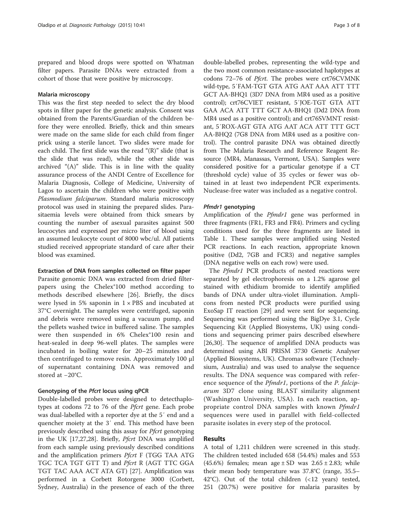prepared and blood drops were spotted on Whatman filter papers. Parasite DNAs were extracted from a cohort of those that were positive by microscopy.

#### Malaria microscopy

This was the first step needed to select the dry blood spots in filter paper for the genetic analysis. Consent was obtained from the Parents/Guardian of the children before they were enrolled. Briefly, thick and thin smears were made on the same slide for each child from finger prick using a sterile lancet. Two slides were made for each child. The first slide was the read "(R)" slide (that is the slide that was read), while the other slide was archived  $(4)$ " slide. This is in line with the quality assurance process of the ANDI Centre of Excellence for Malaria Diagnosis, College of Medicine, University of Lagos to ascertain the children who were positive with Plasmodium falciparum. Standard malaria microscopy protocol was used in staining the prepared slides. Parasitaemia levels were obtained from thick smears by counting the number of asexual parasites against 500 leucocytes and expressed per micro liter of blood using an assumed leukocyte count of 8000 wbc/ul. All patients studied received appropriate standard of care after their blood was examined.

#### Extraction of DNA from samples collected on filter paper

Parasite genomic DNA was extracted from dried filterpapers using the Chelex®100 method according to methods described elsewhere [\[26](#page-6-0)]. Briefly, the discs were lysed in 5% saponin in  $1 \times PBS$  and incubated at 37°C overnight. The samples were centrifuged, saponin and debris were removed using a vacuum pump, and the pellets washed twice in buffered saline. The samples were then suspended in 6% Chelex®100 resin and heat-sealed in deep 96-well plates. The samples were incubated in boiling water for 20–25 minutes and then centrifuged to remove resin. Approximately 100 μl of supernatant containing DNA was removed and stored at −20°C.

# Genotyping of the Pfcrt locus using qPCR

Double-labelled probes were designed to detecthaplotypes at codons 72 to 76 of the *Pfcrt* gene. Each probe was dual-labelled with a reporter dye at the 5′ end and a quencher moiety at the 3′ end. This method have been previously described using this assay for Pfcrt genotyping in the UK [[17](#page-6-0),[27,28](#page-6-0)]. Briefly, *Pfcrt* DNA was amplified from each sample using previously described conditions and the amplification primers  $Pfcrt$  F (TGG TAA ATG TGC TCA TGT GTT T) and *Pfcrt* R (AGT TTC GGA TGT TAC AAA ACT ATA GT) [\[27](#page-6-0)]. Amplification was performed in a Corbett Rotorgene 3000 (Corbett, Sydney, Australia) in the presence of each of the three double-labelled probes, representing the wild-type and the two most common resistance-associated haplotypes at codons 72-76 of *Pfcrt*. The probes were crt76CVMNK wild-type, 5′FAM-TGT GTA ATG AAT AAA ATT TTT GCT AA-BHQ1 (3D7 DNA from MR4 used as a positive control); crt76CVIET resistant, 5′JOE-TGT GTA ATT GAA ACA ATT TTT GCT AA-BHQ1 (Dd2 DNA from MR4 used as a positive control); and crt76SVMNT resistant, 5′ROX-AGT GTA ATG AAT ACA ATT TTT GCT AA-BHQ2 (7G8 DNA from MR4 used as a positive control). The control parasite DNA was obtained directly from The Malaria Research and Reference Reagent Resource (MR4, Manassas, Vermont, USA). Samples were considered positive for a particular genotype if a CT (threshold cycle) value of 35 cycles or fewer was obtained in at least two independent PCR experiments. Nuclease-free water was included as a negative control.

#### Pfmdr1 genotyping

Amplification of the Pfmdr1 gene was performed in three fragments (FR1, FR3 and FR4). Primers and cycling conditions used for the three fragments are listed in Table [1](#page-3-0). These samples were amplified using Nested PCR reactions. In each reaction, appropriate known positive (Dd2, 7GB and FCR3) and negative samples (DNA negative wells on each row) were used.

The Pfmdr1 PCR products of nested reactions were separated by gel electrophoresis on a 1.2% agarose gel stained with ethidium bromide to identify amplified bands of DNA under ultra-violet illumination. Amplicons from nested PCR products were purified using ExoSap IT reaction [[29\]](#page-6-0) and were sent for sequencing. Sequencing was performed using the BigDye 3.1, Cycle Sequencing Kit (Applied Biosystems, UK) using conditions and sequencing primer pairs described elsewhere [[26,30\]](#page-6-0). The sequence of amplified DNA products was determined using ABI PRISM 3730 Genetic Analyser (Applied Biosystems, UK). Chromas software (Technelysium, Australia) and was used to analyse the sequence results. The DNA sequence was compared with reference sequence of the *Pfmdr1*, portions of the *P. falcip*arum 3D7 clone using BLAST similarity alignment (Washington University, USA). In each reaction, appropriate control DNA samples with known *Pfmdr1* sequences were used in parallel with field-collected parasite isolates in every step of the protocol.

# Results

A total of 1,211 children were screened in this study. The children tested included 658 (54.4%) males and 553  $(45.6%)$  females; mean age  $\pm$  SD was 2.65  $\pm$  2.83; while their mean body temperature was 37.8°C (range, 35.5– 42°C). Out of the total children (<12 years) tested, 251 (20.7%) were positive for malaria parasites by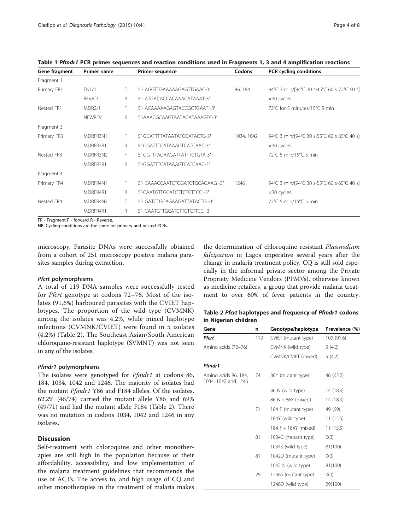| Gene fragment | Primer name   |              | <b>Primer sequence</b>           | Codons     | PCR cycling conditions                     |
|---------------|---------------|--------------|----------------------------------|------------|--------------------------------------------|
| Fragment 1    |               |              |                                  |            |                                            |
| Primary FR1   | <b>FN1/1</b>  | F.           | 5'- AGGTTGAAAAAGAGTTGAAC-3'      | 86, 184    | 94°C 3 min/[94°C 30 s-45°C 60 s 72°C 60 s] |
|               | REV/C1        | R.           | 5'- ATGACACCACAAACATAAAT-3'      |            | $\times$ 30 cycles                         |
| Nested FR1    | <b>MDR2/1</b> | F.           | 5'- ACAAAAAGAGTACCGCTGAAT -3'    |            | 72°C for 5 minutes/15°C 5 min              |
|               | NEWREV1       | R.           | 5'-AAACGCAAGTAATACATAAAGTC-3'    |            |                                            |
| Fragment 3    |               |              |                                  |            |                                            |
| Primary FR3   | MDRFR3N1      | F.           | 5'-GCATTTTATAATATGCATACTG-3'     | 1034, 1042 | 94°C 3 min/[94°C 30 s-55°C 60 s 65°C 40 s] |
|               | MDRFR3R1      | $\mathsf{R}$ | 5'-GGATTTCATAAAGTCATCAAC-3'      |            | $\times$ 30 cycles                         |
| Nested FR3    | MDRFR3N2      | F.           | 5'-GGTTTAGAAGATTATTTCTGTA-3'     |            | 72°C 5 min/15°C 5 min                      |
|               | MDRFR3R1      | R.           | 5'-GGATTTCATAAAGTCATCAAC-3'      |            |                                            |
| Fragment 4    |               |              |                                  |            |                                            |
| Primary FR4   | MDRFR4N1      | F.           | 5'- CAAACCAATCTGGATCTGCAGAAG -3' | 1246       | 94°C 3 min/[94°C 30 s-55°C 60 s-65°C 40 s] |
|               | MDRFR4R1      | $\mathsf R$  | 5'-CAATGTTGCATCTTCTCTTCC -3'     |            | $\times$ 30 cycles                         |
| Nested FR4    | MDRFR4N2      | F.           | 5'- GATCTGCAGAAGATTATACTG -3'    |            | 72°C 5 min/15°C 5 min                      |
|               | MDRFR4R1      | R            | 5'- CAATGTTGCATCTTCTCTTCC -3'    |            |                                            |

<span id="page-3-0"></span>Table 1 Pfmdr1 PCR primer sequences and reaction conditions used in Fragments 1, 3 and 4 amplification reactions

FR - Fragment F - forward R - Reverse.

NB: Cycling conditions are the same for primary and nested PCRs.

microscopy. Parasite DNAs were successfully obtained from a cohort of 251 microscopy positive malaria parasites samples during extraction.

### Pfcrt polymorphisms

A total of 119 DNA samples were successfully tested for Pfcrt genotype at codons 72–76. Most of the isolates (91.6%) harboured parasites with the CVIET haplotypes. The proportion of the wild type (CVMNK) among the isolates was 4.2%, while mixed haplotype infections (CVMNK/CVIET) were found in 5 isolates (4.2%) (Table 2). The Southeast Asian/South American chloroquine-resistant haplotype (SVMNT) was not seen in any of the isolates.

## Pfmdr1 polymorphisms

The isolates were genotyped for *Pfmdr1* at codons 86, 184, 1034, 1042 and 1246. The majority of isolates had the mutant Pfmdr1 Y86 and F184 alleles. Of the isolates, 62.2% (46/74) carried the mutant allele Y86 and 69% (49/71) and had the mutant allele F184 (Table 2). There was no mutation in codons 1034, 1042 and 1246 in any isolates.

# **Discussion**

Self-treatment with chloroquine and other monotherapies are still high in the population because of their affordability, accessibility, and low implementation of the malaria treatment guidelines that recommends the use of ACTs. The access to, and high usage of CQ and other monotherapies in the treatment of malaria makes

the determination of chloroquine resistant Plasmodium falciparum in Lagos imperative several years after the change in malaria treatment policy. CQ is still sold especially in the informal private sector among the Private Propriety Medicine Vendors (PPMVs), otherwise known as medicine retailers, a group that provide malaria treatment to over 60% of fever patients in the country.

Table 2 Pfcrt haplotypes and frequency of Pfmdr1 codons in Nigerian children

| Gene                                        | n   | Genotype/haplotype   | Prevalence (%) |
|---------------------------------------------|-----|----------------------|----------------|
| Pfcrt                                       | 119 | CVIET (mutant type)  | 109 (91.6)     |
| Amino acids (72-76)                         |     | CVMNK (wild type)    | 5(4.2)         |
|                                             |     | CVMNK/CVIET (mixed)  | 5(4.2)         |
| Pfmdr1                                      |     |                      |                |
| Amino acids 86, 184,<br>1034, 1042 and 1246 | 74  | 86Y (mutant type)    | 46 (62.2)      |
|                                             |     | 86 N (wild type)     | 14 (18.9)      |
|                                             |     | 86 N + 86Y (mixed)   | 14 (18.9)      |
|                                             | 71  | 184 F (mutant type)  | 49 (69)        |
|                                             |     | 184Y (wild type)     | 11(15.5)       |
|                                             |     | 184 F + 184Y (mixed) | 11(15.5)       |
|                                             | 81  | 1034C (mutant type)  | O(0)           |
|                                             |     | 1034S (wild type)    | 81(100)        |
|                                             | 81  | 1042D (mutant type)  | O(0)           |
|                                             |     | 1042 N (wild type)   | 81(100)        |
|                                             | 29  | 1246S (mutant type)  | O(0)           |
|                                             |     | 1246D (wild type)    | 29(100)        |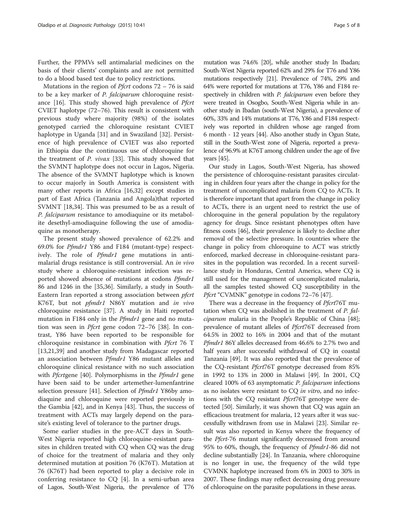Further, the PPMVs sell antimalarial medicines on the basis of their clients' complaints and are not permitted to do a blood based test due to policy restrictions.

Mutations in the region of *Pfcrt* codons  $72 - 76$  is said to be a key marker of P. falciparum chloroquine resistance  $[16]$  $[16]$ . This study showed high prevalence of *Pfcrt* CVIET haplotype (72–76). This result is consistent with previous study where majority (98%) of the isolates genotyped carried the chloroquine resistant CVIET haplotype in Uganda [[31\]](#page-6-0) and in Swaziland [[32\]](#page-6-0). Persistence of high prevalence of CVIET was also reported in Ethiopia due the continuous use of chloroquine for the treatment of P. vivax [[33](#page-6-0)]. This study showed that the SVMNT haplotype does not occur in Lagos, Nigeria. The absence of the SVMNT haplotype which is known to occur majorly in South America is consistent with many other reports in Africa [\[16,32\]](#page-6-0) except studies in part of East Africa (Tanzania and Angola)that reported SVMNT [\[18,34](#page-6-0)]. This was presumed to be as a result of P. falciparum resistance to amodiaquine or its metabolite desethyl-amodiaquine following the use of amodiaquine as monotherapy.

The present study showed prevalence of 62.2% and 69.0% for Pfmdr1 Y86 and F184 (mutant-type) respectively. The role of Pfmdr1 gene mutations in antimalarial drugs resistance is still controversial. An in vivo study where a chloroquine-resistant infection was reported showed absence of mutations at codons Pfmdr1 86 and 1246 in the [\[35,36](#page-6-0)]. Similarly, a study in South-Eastern Iran reported a strong association between *pfcrt* K76T, but not pfmdr1 N86Y mutation and in vivo chloroquine resistance [[37\]](#page-6-0). A study in Haiti reported mutation in F184 only in the *Pfmdr1* gene and no mutation was seen in *Pfcrt* gene codon 72–76 [[38\]](#page-6-0). In contrast, Y86 have been reported to be responsible for chloroquine resistance in combination with  $Pfct$  76 T [[13,21,39\]](#page-6-0) and another study from Madagascar reported an association between Pfmdr1 Y86 mutant alleles and chloroquine clinical resistance with no such association with Pfcrtgene [\[40](#page-6-0)]. Polymorphisms in the Pfmdr1 gene have been said to be under artemether-lumenfantrine selection pressure [[41\]](#page-6-0). Selection of Pfmdr1 Y86by amodiaquine and chloroquine were reported previously in the Gambia [[42\]](#page-6-0), and in Kenya [\[43](#page-6-0)]. Thus, the success of treatment with ACTs may largely depend on the parasite's existing level of tolerance to the partner drugs.

Some earlier studies in the pre-ACT days in South-West Nigeria reported high chloroquine-resistant parasites in children treated with CQ when CQ was the drug of choice for the treatment of malaria and they only determined mutation at position 76 (K76T). Mutation at 76 (K76T) had been reported to play a decisive role in conferring resistance to CQ [\[4](#page-5-0)]. In a semi-urban area of Lagos, South-West Nigeria, the prevalence of T76

mutation was 74.6% [[20](#page-6-0)], while another study In Ibadan; South-West Nigeria reported 62% and 29% for T76 and Y86 mutations respectively [\[21\]](#page-6-0). Prevalence of 74%, 29% and 64% were reported for mutations at T76, Y86 and F184 respectively in children with P. falciparum even before they were treated in Osogbo, South-West Nigeria while in another study in Ibadan (south-West Nigeria), a prevalence of 60%, 33% and 14% mutations at T76, Y86 and F184 respectively was reported in children whose age ranged from 6 month - 12 years [[44\]](#page-6-0). Also another study in Ogun State, still in the South-West zone of Nigeria, reported a prevalence of 96.9% at K76T among children under the age of five years [[45\]](#page-6-0).

Our study in Lagos, South-West Nigeria, has showed the persistence of chloroquine-resistant parasites circulating in children four years after the change in policy for the treatment of uncomplicated malaria from CQ to ACTs. It is therefore important that apart from the change in policy to ACTs, there is an urgent need to restrict the use of chloroquine in the general population by the regulatory agency for drugs. Since resistant phenotypes often have fitness costs [\[46\]](#page-6-0), their prevalence is likely to decline after removal of the selective pressure. In countries where the change in policy from chloroquine to ACT was strictly enforced, marked decrease in chloroquine-resistant parasites in the population was recorded. In a recent surveillance study in Honduras, Central America, where CQ is still used for the management of uncomplicated malaria, all the samples tested showed CQ susceptibility in the Pfcrt "CVMNK" genotype in codons 72–76 [[47](#page-6-0)].

There was a decrease in the frequency of *Pfcrt*76T mutation when CQ was abolished in the treatment of P. falciparum malaria in the People's Republic of China [[48](#page-6-0)]; prevalence of mutant alleles of *Pfcrt*76T decreased from 64.5% in 2002 to 16% in 2004 and that of the mutant Pfmdr1 86Y alleles decreased from 46.6% to 2.7% two and half years after successful withdrawal of CQ in coastal Tanzania [\[49\]](#page-7-0). It was also reported that the prevalence of the CQ-resistant Pfcrt76T genotype decreased from 85% in 1992 to 13% in 2000 in Malawi [\[49](#page-7-0)]. In 2001, CQ cleared 100% of 63 asymptomatic P. falciparum infections as no isolates were resistant to CQ in vitro, and no infections with the CQ resistant *Pfcrt*76T genotype were detected [\[50\]](#page-7-0). Similarly, it was shown that CQ was again an efficacious treatment for malaria, 12 years after it was successfully withdrawn from use in Malawi [\[23](#page-6-0)]. Similar result was also reported in Kenya where the frequency of the *Pfcrt-76* mutant significantly decreased from around 95% to 60%, though, the frequency of Pfmdr1-86 did not decline substantially [\[24\]](#page-6-0). In Tanzania, where chloroquine is no longer in use, the frequency of the wild type CVMNK haplotype increased from 6% in 2003 to 30% in 2007. These findings may reflect decreasing drug pressure of chloroquine on the parasite populations in these areas.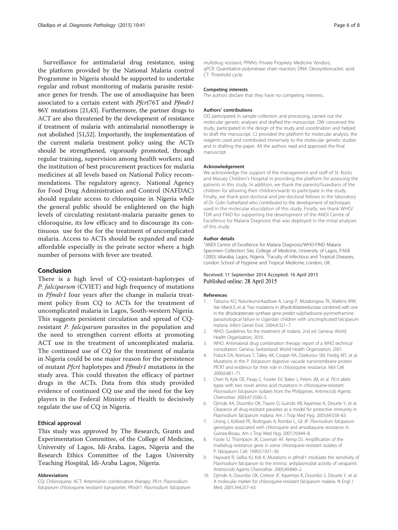<span id="page-5-0"></span>Surveillance for antimalarial drug resistance, using the platform provided by the National Malaria control Programme in Nigeria should be supported to undertake regular and robust monitoring of malaria parasite resistance genes for trends. The use of amodiaquine has been associated to a certain extent with *Pfcrt*76T and *Pfmdr1* 86Y mutations [[21,43](#page-6-0)]. Furthermore, the partner drugs to ACT are also threatened by the development of resistance if treatment of malaria with antimalarial monotherapy is not abolished [\[51,52\]](#page-7-0). Importantly, the implementation of the current malaria treatment policy using the ACTs should be strengthened, vigorously promoted, through regular training, supervision among health workers; and the institution of best procurement practices for malaria medicines at all levels based on National Policy recommendations. The regulatory agency, National Agency for Food Drug Administration and Control (NAFDAC) should regulate access to chloroquine in Nigeria while the general public should be enlightened on the high levels of circulating resistant-malaria parasite genes to chloroquine, its low efficacy and to discourage its continuous use for the for the treatment of uncomplicated malaria. Access to ACTs should be expanded and made affordable especially in the private sector where a high number of persons with fever are treated.

## Conclusion

There is a high level of CQ-resistant-haplotypes of P. falciparum (CVIET) and high frequency of mutations in Pfmdr1 four years after the change in malaria treatment policy from CQ to ACTs for the treatment of uncomplicated malaria in Lagos, South-western Nigeria. This suggests persistent circulation and spread of CQresistant P. falciparum parasites in the population and the need to strengthen current efforts at promoting ACT use in the treatment of uncomplicated malaria. The continued use of CQ for the treatment of malaria in Nigeria could be one major reason for the persistence of mutant *Pfcrt* haplotypes and *Pfmdr1* mutations in the study area. This could threaten the efficacy of partner drugs in the ACTs. Data from this study provided evidence of continued CQ use and the need for the key players in the Federal Ministry of Health to decisively regulate the use of CQ in Nigeria.

#### Ethical approval

This study was approved by The Research, Grants and Experimentation Committee, of the College of Medicine, University of Lagos, Idi-Araba, Lagos, Nigeria and the Research Ethics Committee of the Lagos University Teaching Hospital, Idi-Araba Lagos, Nigeria.

#### Abbreviations

CQ: Chloroquine; ACT: Artemisinin combination therapy; Pfcrt: Plasmodium falciparum chloroquine resistant transporter; Pfmdr1: Plasmodium falciparum

multidrug resistant; PPMVs: Private Propriety Medicine Vendors; qPCR: Quantitative polymerase chain reaction; DNA: Deoxyribonucleic acid; CT: Threshold cycle.

#### Competing interests

The authors declare that they have no competing interests.

#### Authors' contributions

OO participated in sample collection and processing, carried out the molecular genetic analyses and drafted the manuscript. OW conceived the study, participated in the design of the study and coordination and helped to draft the manuscript. CJ provided the platform for molecular analysis, the reagents used and contributed immensely to the molecular genetic studies and in drafting the paper. All the authors read and approved the final manuscript.

#### Acknowledgement

We acknowledge the support of the management and staff of St. Kizito and Massey Children's Hospital in providing the platform for assessing the patients in this study. In addition, we thank the parents/Guardians of the children for allowing their children/wards to participate in the study. Finally, we thank post-doctoral and pre-doctoral fellows in the laboratory of Dr. Colin Sutherland who contributed to the development of techniques used in the molecular elucidation of this study. Finally, we thank WHO/ TDR and FIND for supporting the development of the ANDI Centre of Excellence for Malaria Diagnosis that was deployed in the initial analyses of this study.

#### Author details

1 ANDI Centre of Excellence for Malaria Diagnosis/WHO-FIND Malaria Specimen Collection Site, College of Medicine, University of Lagos, P.M.B 12003, Idiaraba, Lagos, Nigeria. <sup>2</sup> Faculty of Infectious and Tropical Diseases, London School of Hygiene and Tropical Medicine, London, UK.

#### Received: 11 September 2014 Accepted: 16 April 2015 Published online: 28 April 2015

#### References

- 1. Talisuna AO, Nalunkuma-Kazibwe A, Langi P, Mutabingwa TK, Watkins WW, Van Marck E, et al. Two mutations in dihydrofolatereductase combined with one in the dihydropteroate synthase gene predict sulphadoxine-pyrimethamine parasitological failure in Ugandan children with uncomplicated falciparum malaria. Infect Genet Evol. 2004;4:321–7.
- 2. WHO. Guidelines for the treatment of malaria. 2nd ed. Geneva: World Health Organization; 2010.
- 3. WHO. Antimalarial drug combination therapy: report of a WHO technical consultation. Geneva, Switzerland: World Health Organization; 2001.
- 4. Fidock DA, Nomura T, Talley AK, Cooper RA, Dzekunov SM, Ferdig MT, et al. Mutations in the P. falciparum digestive vacuole transmembrane protein PfCRT and evidence for their role in chloroquine resistance. Mol Cell. 2000;6:861–71.
- 5. Chen N, Kyle DE, Pasay C, Fowler EV, Baker J, Peters JM, et al. Pfcrt allelic types with two novel amino acid mutations in chloroquine-resistant Plasmodium falciparum isolates from the Philippines. Antimicrob Agents Chemother. 2003;47:3500–5.
- 6. Djimde AA, Doumbo OK, Traore O, Guindo AB, Kayentao K, Diourte Y, et al. Clearance of drug-resistant parasites as a model for protective immunity in Plasmodium falciparum malaria. Am J Trop Med Hyg. 2003;69:558–63.
- 7. Ursing J, Kofoed PE, Rodrigues A, Rombo L, Gil JP. Plasmodium falciparum genotypes associated with chloroquine and amodiaquine resistance in Guinea-Bissau. Am J Trop Med Hyg. 2007;76:844–8.
- Foote SJ, Thompson JK, Cowman AF, Kemp DJ. Amplification of the multidrug resistance gene in some chloroquine-resistant isolates of P. falciparum. Cell. 1999;57:921–30.
- 9. Hayward R, Saliba KJ, Kirk K. Mutations in pfmdr1 modulate the sensitivity of Plasmodium falciparum to the intrinsic antiplasmodial activity of verapamil. Antimicrob Agents Chemother. 2005;49:840–2.
- 10. Djimde A, Doumbo OK, Cortese JF, Kayentao K, Doumbo S, Diourte Y, et al. A molecular marker for chloroquine-resistant falciparum malaria. N Engl J Med. 2001;344:257–63.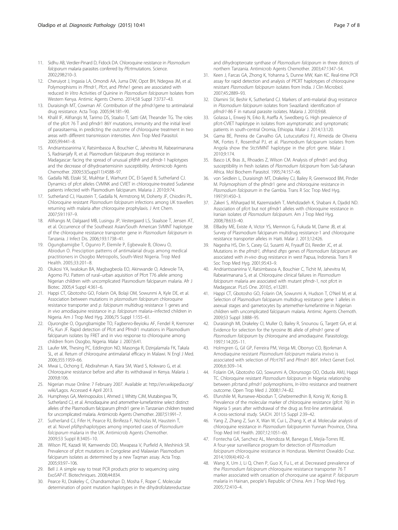- <span id="page-6-0"></span>11. Sidhu AB, Verdier-Pinard D, Fidock DA. Chloroquine resistance in Plasmodium falciparum malaria parasites conferred by Pfcrtmutations. Science. 2002;298:210–3.
- 12. Cheruiyot J, Ingasia LA, Omondi AA, Juma DW, Opot BH, Ndegwa JM, et al. Polymorphisms in Pfmdr1, Pfcrt, and Pfnhe1 genes are associated with reduced In Vitro Activities of Quinine in Plasmodium falciparum Isolates from Western Kenya. Antimic Agents Chemo. 2014;58 Suppl 7:3737–43.
- 13. Duraisingh MT, Cowman AF. Contribution of the pfmdr1gene to antimalarial drug resistance. Acta Trop. 2005;94:181–90.
- 14. Khalil IF, Alifrangis M, Tarimo DS, Staalso T, Satti GM, Theander TG. The roles of the pfcrt 76 T and pfmdr1 86Y mutations, immunity and the initial level of parasitaemia, in predicting the outcome of chloroquine treatment in two areas with different transmission intensities. Ann Trop Med Parasitol. 2005;99:441–8.
- 15. Andriantsoanirina V, Ratsimbasoa A, Bouchier C, Jahevitra M, Rabearimanana S, Radrianjafy R, et al. Plasmodium falciparum drug resistance in Madagascar: facing the spread of unusual pfdhfr and pfmdr-1 haplotypes and the decrease of dihydroartemisinin susceptibility. Antimicrob Agents Chemother. 2009;53(Suppl11):4588–97.
- 16. Gadalla NB, Elzaki SE, Mukhtar E, Warhurst DC, El-Sayed B, Sutherland CJ. Dynamics of pfcrt alleles CVMNK and CVIET in chloroquine-treated Sudanese patients infected with Plasmodium falciparum. Malaria J. 2010;9:74.
- 17. Sutherland CJ, Haustein T, Gadalla N, Armstrong M, Doherty JF, Chiodini PL. Chloroquine resistant Plasmodium falciparum infections among UK travellers returning with malaria after chloroquine prophylaxis. J Ant Chem. 2007;59:1197–9.
- 18. Alifrangis M, Dalgaard MB, Lusingu JP, Vestergaard LS, Staalsoe T, Jensen AT, et al. Occurrence of the Southeast Asian/South American SVMNT haplotype of the chloroquine resistance transporter gene in Plasmodium falciparum in Tanzania. J Infect Dis. 2006;193:1738–41.
- 19. Ogungbamigbe T, Ogunro P, Elemile P, Egbewale B, Olowu O, Abiodun O. Presciption patterns of antimalarial drugs among medical practitioners in Osogbo Metropolis, South-West Nigeria. Trop Med Health. 2005;33:201–8.
- 20. Olukosi YA, Iwalokun BA, Magbagbeola EO, Akinwande O, Adewole TA, Agomo PU. Pattern of rural–urban aquisition of Pfcrt T76 allele among Nigerian children with uncomplicated Plasmodium falciparum malaria. Afr J Biotec. 2005;4 Suppl 4:361–6.
- 21. Happi CT, Gbotosho GO, Folarin OA, Bolaji OM, Sowunmi A, Kyle DE, et al. Association between mutations in plasmodium falciparum chloroquine resistance transporter and p. falciparum multidrug resistance 1 genes and in vivo amodiaquine resistance in p. falciparum malaria–infected children in Nigeria. Am J Trop Med Hyg. 2006;75 Suppl 1:155–61.
- 22. Ojurongbe O, Ogungbamigbe TO, Fagbenro-Beyioku AF, Fendel R, Kremsner PG, Kun JF. Rapid detection of Pfcrt and Pfmdr1 mutations in Plasmodium falciparum isolates by FRET and in vivo response to chloroquine among children from Osogbo, Nigeria. Malar J. 2007;6:41.
- 23. Laufer MK, Thesing PC, Eddington ND, Masonga R, Dzinjalamala FK, Takala SL, et al. Return of chloroquine antimalarial efficacy in Malawi. N Engl J Med. 2006;355:1959–66.
- 24. Mwai L, Ochong E, Abdirahman A, Kiara SM, Ward S, Kokwaro G, et al. Chloroquine resistance before and after its withdrawal in Kenya. Malaria J. 2009;8:106.
- 25. Nigerian muse Online: 7 February 2007. Available at: [http://en.wikipedia.org/](http://en.wikipedia.org/wiki/Lagos) [wiki/Lagos.](http://en.wikipedia.org/wiki/Lagos) Accessed 4 April 2013.
- 26. Humphreys GA, Merinopoulos I, Ahmed J, Whitty CJM, Mutabingwa TK, Sutherland CJ, et al. Amodiaquine and artemether-lumefantrine select distinct alleles of the Plasmodium falciparum pfmdr1 gene in Tanzanian children treated for uncomplicated malaria. Antimicrob Agents Chemother. 2007;51:991–7.
- 27. Sutherland CJ, Fifer H, Pearce RJ, BinReza F, Nicholas M, Haustein T, et al. Novel pfdhpshaplotypes among imported cases of Plasmodium falciparum malaria in the UK. Antimicrob Agents Chemother. 2009;53 Suppl 8:3405–10.
- 28. Wilson PE, Kazadi W, Kamwendo DD, Mwapasa V, Purfield A, Meshinick SR. Prevalence of pfcrt mutations in Congolese and Malawian Plasmodium falciparum isolates as determined by a new Taqman assay. Acta Trop. 2005;93:97–106.
- 29. Bell J. A simple way to treat PCR products prior to sequencing using ExoSAP-IT. Biotechniques. 2008;44:834.
- 30. Pearce RJ, Drakeley C, Chandramohan D, Mosha F, Roper C. Molecular determination of point mutation haplotypes in the dihydrofolatereductase

and dihydropteroate synthase of Plasmodium falciparum in three districts of northern Tanzania. Antimicrob Agents Chemother. 2003;47:1347–54.

- 31. Keen J, Farcas GA, Zhong K, Yohanna S, Dunne MW, Kain KC. Real-time PCR assay for rapid detection and analysis of PfCRT haplotypes of chloroquine resistant Plasmodium falciparum isolates from India. J Clin Microbiol. 2007;45:2889–93.
- 32. Dlamini SV, Beshir K, Sutherland CJ. Markers of anti-malarial drug resistance in Plasmodium falciparum isolates from Swaziland: identification of pfmdr1-86 F in natural parasite isolates. Malaria J. 2010;9:68.
- 33. Golassa L, Enweji N, Erko B, Aseffa A, Swedberg G. High prevalence of pfcrt-CVIET haplotype in isolates from asymptomatic and symptomatic patients in south-central Oromia, Ethiopia. Malar J. 2014;13:120.
- 34. Gama BE, Pereira de Carvalho GA, LutucutaKosi FJ, Almeida de Oliveira NK, Fortes F, Rosenthal PJ, et al. Plasmodium falciparum isolates from Angola show the StctVMNT haplotype in the pfcrt gene. Malar J. 2010;9:174.
- 35. Basco LK, Bras JL, Rhoades Z, Wilson CM. Analysis of pfmdr1 and drug susceptibility in fresh isolates of Plasmodium falciparum from Sub-Saharan Africa. Mol Biochem Parasitol. 1995;74:157–66.
- 36. von Seidlein L, Duraisingh MT, Drakeley CJ, Bailey R, Greenwood BM, Pinder M. Polymorphism of the pfmdr1 gene and chloroquine resistance in Plasmodium falciparum in the Gambia. Trans R Soc Trop Med Hyg. 1997;91:450–3.
- 37. Zakeri S, Afsharpad M, Kazemzadeh T, Mehdizadeh K, Shabani A, Djadid ND. Association of pfcrt but not pfmdr1 alleles with chloroquine resistance in Iranian isolates of Plasmodium falciparum. Am J Trop Med Hyg. 2008;78:633–40.
- 38. ElBadry ME, Existe A, Victor YS, Memnon G, Fukuda M, Dame JB, et al. Survey of Plasmodium falciparum multidrug resistance-1 and chloroquine resistance transporter alleles in Haiti. Malar J. 2013;12:426.
- 39. Nagesha HS, Din S, Casey GJ, Susanti AI, Fryauff DJ, Reeder JC, et al. Mutations in the pfmdr1, dhfrand dhps genes of Plasmodium falciparum are associated with in-vivo drug resistance in west Papua, Indonesia. Trans R Soc Trop Med Hyg. 2001;95:43–9.
- 40. Andriantsoanirina V, Ratsimbasoa A, Bouchier C, Tichit M, Jahevitra M, Rabearimanana S, et al. Chloroquine clinical failures in Plasmodium falciparum malaria are associated with mutant pfmdr-1, not pfcrt in Madagascar. PLoS One. 2010;5, e13281.
- 41. Happi CT, Gbotosho GO, Folarin OA, Sowunmi A, Hudson T, O'Neil M, et al. Selection of Plasmodium falciparum multidrug resistance gene 1 alleles in asexual stages and gametocytes by artemether-lumefantrine in Nigerian children with uncomplicated falciparum malaria. Antimic Agents Chemoth. 2009;53 Suppl 3:888–95.
- 42. Duraisingh MI, Drakeley CI, Muller O, Bailey R, Snounou G, Targett GA, et al. Evidence for selection for the tyrosine 86 allele of pfmdr1 gene of Plasmodium falciparum by chloroquine and amodiaquine. Parasitology. 1997;114:205–11.
- 43. Holmgren G, Gil GP, Ferreira PM, Veiga MI, Obonyo CO, Bjorkman A. Amodiaquine resistant Plasmodium falciparum malaria invivo is associated with selection of Pfcrt76T and Pfmdr1 86Y. Infect Genet Evol. 2006;6:309–14.
- 44. Folarin OA, Gbotosho GO, Sowunmi A, Olorunsogo OO, Oduola AMJ, Happi TC. Chloroquine resistant Plasmodium falciparum in Nigeria: relationship between pfcrtand pfmdr1 polymorphisms, In-Vitro resistance and treatment outcome. Open Trop Med J. 2008;1:74–82.
- 45. Efunshile M, Runsewe-Abiodun T, Ghebremedhin B, Konig W, Konig B. Prevalence of the molecular marker of chloroquine resistance (pfcrt 76) in Nigeria 5 years after withdrawal of the drug as first-line antimalarial. A cross-sectional study. SAJCH. 2011;5 Suppl 2:39–42.
- 46. Yang Z, Zhang Z, Sun X, Wan W, Cui L, Zhang X, et al. Molecular analysis of chloroquine resistance in Plasmodium falciparumin Yunnan Province, China. Trop Med Intl Health. 2007;12:1051–60.
- 47. Fontecha GA, Sanchez AL, Mendoza M, Banegas E, Mejía-Torres RE. A four-year surveillance program for detection of Plasmodium falciparum chloroquine resistance in Honduras. MemInst Oswaldo Cruz. 2014;109(4):492–9.
- 48. Wang X, Um J, Li Q, Chen P, Guo X, Fu L, et al. Decreased prevalence of the Plasmodium falciparum chloroquine resistance transporter 76 T marker associated with cessation of choroquine use against P. falciparum malaria in Hainan, people's Republic of China. Am J Trop Med Hyg. 2005;72:410–4.